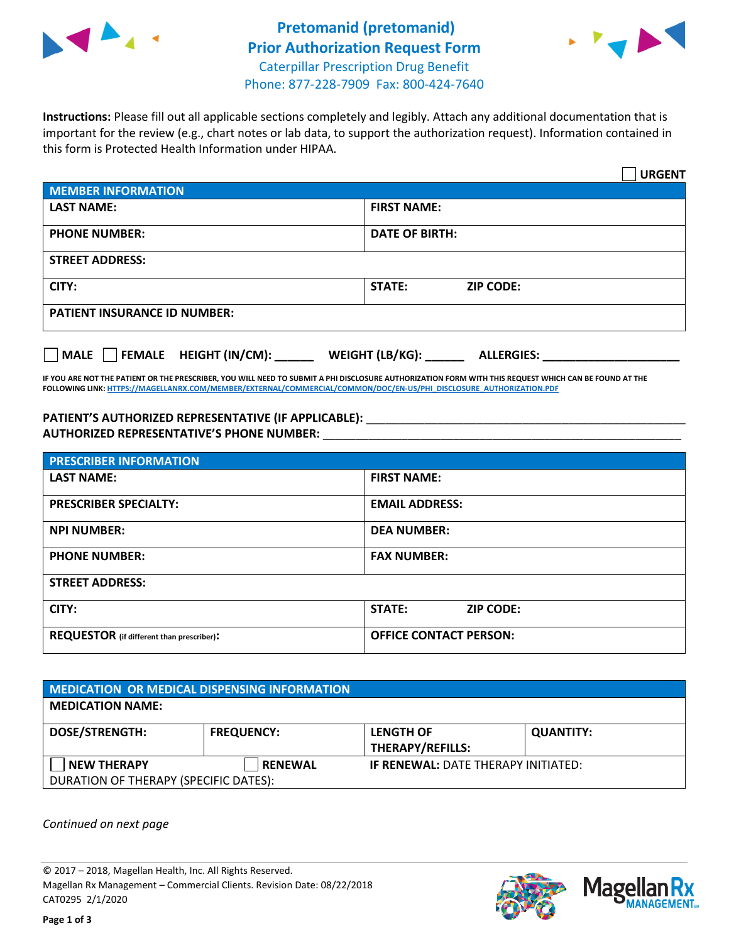



**Instructions:** Please fill out all applicable sections completely and legibly. Attach any additional documentation that is important for the review (e.g., chart notes or lab data, to support the authorization request). Information contained in this form is Protected Health Information under HIPAA.

|                                              | <b>URGENT</b>                        |  |  |  |
|----------------------------------------------|--------------------------------------|--|--|--|
| <b>MEMBER INFORMATION</b>                    |                                      |  |  |  |
| <b>LAST NAME:</b>                            | <b>FIRST NAME:</b>                   |  |  |  |
| <b>PHONE NUMBER:</b>                         | <b>DATE OF BIRTH:</b>                |  |  |  |
| <b>STREET ADDRESS:</b>                       |                                      |  |  |  |
| CITY:                                        | <b>STATE:</b><br><b>ZIP CODE:</b>    |  |  |  |
| <b>PATIENT INSURANCE ID NUMBER:</b>          |                                      |  |  |  |
| $\Box$ FEMALE HEIGHT (IN/CM):<br><b>MALE</b> | WEIGHT (LB/KG):<br><b>ALLERGIES:</b> |  |  |  |

**IF YOU ARE NOT THE PATIENT OR THE PRESCRIBER, YOU WILL NEED TO SUBMIT A PHI DISCLOSURE AUTHORIZATION FORM WITH THIS REQUEST WHICH CAN BE FOUND AT THE FOLLOWING LINK[: HTTPS://MAGELLANRX.COM/MEMBER/EXTERNAL/COMMERCIAL/COMMON/DOC/EN-US/PHI\\_DISCLOSURE\\_AUTHORIZATION.PDF](https://magellanrx.com/member/external/commercial/common/doc/en-us/PHI_Disclosure_Authorization.pdf)**

**PATIENT'S AUTHORIZED REPRESENTATIVE (IF APPLICABLE):** \_\_\_\_\_\_\_\_\_\_\_\_\_\_\_\_\_\_\_\_\_\_\_\_\_\_\_\_\_\_\_\_\_\_\_\_\_\_\_\_\_\_\_\_\_\_\_\_\_ **AUTHORIZED REPRESENTATIVE'S PHONE NUMBER:** \_\_\_\_\_\_\_\_\_\_\_\_\_\_\_\_\_\_\_\_\_\_\_\_\_\_\_\_\_\_\_\_\_\_\_\_\_\_\_\_\_\_\_\_\_\_\_\_\_\_\_\_\_\_\_

| <b>PRESCRIBER INFORMATION</b>             |                               |  |  |  |
|-------------------------------------------|-------------------------------|--|--|--|
| <b>LAST NAME:</b>                         | <b>FIRST NAME:</b>            |  |  |  |
| <b>PRESCRIBER SPECIALTY:</b>              | <b>EMAIL ADDRESS:</b>         |  |  |  |
| <b>NPI NUMBER:</b>                        | <b>DEA NUMBER:</b>            |  |  |  |
| <b>PHONE NUMBER:</b>                      | <b>FAX NUMBER:</b>            |  |  |  |
| <b>STREET ADDRESS:</b>                    |                               |  |  |  |
| CITY:                                     | STATE:<br><b>ZIP CODE:</b>    |  |  |  |
| REQUESTOR (if different than prescriber): | <b>OFFICE CONTACT PERSON:</b> |  |  |  |

| <b>MEDICATION OR MEDICAL DISPENSING INFORMATION</b> |                   |                                            |                  |  |  |
|-----------------------------------------------------|-------------------|--------------------------------------------|------------------|--|--|
| <b>MEDICATION NAME:</b>                             |                   |                                            |                  |  |  |
| <b>DOSE/STRENGTH:</b>                               | <b>FREQUENCY:</b> | <b>LENGTH OF</b>                           | <b>QUANTITY:</b> |  |  |
|                                                     |                   | <b>THERAPY/REFILLS:</b>                    |                  |  |  |
| <b>NEW THERAPY</b>                                  | <b>RENEWAL</b>    | <b>IF RENEWAL: DATE THERAPY INITIATED:</b> |                  |  |  |
| DURATION OF THERAPY (SPECIFIC DATES):               |                   |                                            |                  |  |  |

*Continued on next page*

© 2017 – 2018, Magellan Health, Inc. All Rights Reserved. Magellan Rx Management – Commercial Clients. Revision Date: 08/22/2018 CAT0295 2/1/2020



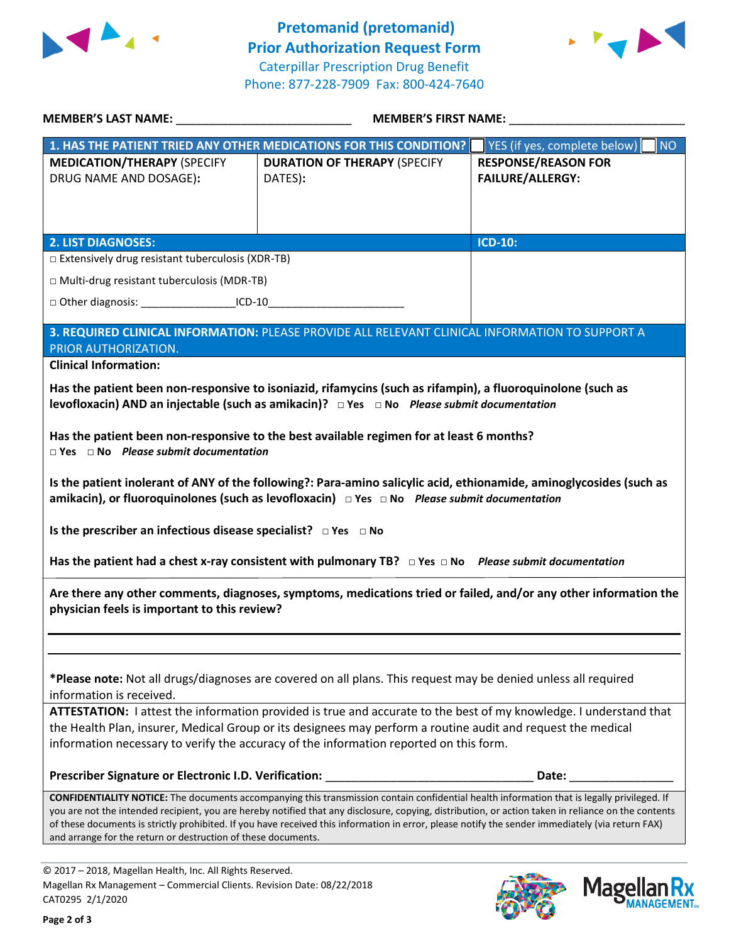



| MEMBER'S LAST NAME: NAME:                                                                                                                                                                                                                                                                                                                                                | MEMBER'S FIRST NAME:                                                                                                                        |                                                                                                                                                                                                                                |  |  |  |
|--------------------------------------------------------------------------------------------------------------------------------------------------------------------------------------------------------------------------------------------------------------------------------------------------------------------------------------------------------------------------|---------------------------------------------------------------------------------------------------------------------------------------------|--------------------------------------------------------------------------------------------------------------------------------------------------------------------------------------------------------------------------------|--|--|--|
|                                                                                                                                                                                                                                                                                                                                                                          | 1. HAS THE PATIENT TRIED ANY OTHER MEDICATIONS FOR THIS CONDITION?                                                                          | <b>NO</b><br>YES (if yes, complete below)                                                                                                                                                                                      |  |  |  |
| <b>MEDICATION/THERAPY (SPECIFY</b><br>DRUG NAME AND DOSAGE):                                                                                                                                                                                                                                                                                                             | <b>DURATION OF THERAPY (SPECIFY</b><br>DATES):                                                                                              | <b>RESPONSE/REASON FOR</b><br><b>FAILURE/ALLERGY:</b>                                                                                                                                                                          |  |  |  |
|                                                                                                                                                                                                                                                                                                                                                                          |                                                                                                                                             |                                                                                                                                                                                                                                |  |  |  |
| <b>2. LIST DIAGNOSES:</b>                                                                                                                                                                                                                                                                                                                                                |                                                                                                                                             | <b>ICD-10:</b>                                                                                                                                                                                                                 |  |  |  |
| $\Box$ Extensively drug resistant tuberculosis (XDR-TB)                                                                                                                                                                                                                                                                                                                  |                                                                                                                                             |                                                                                                                                                                                                                                |  |  |  |
| □ Multi-drug resistant tuberculosis (MDR-TB)                                                                                                                                                                                                                                                                                                                             |                                                                                                                                             |                                                                                                                                                                                                                                |  |  |  |
| □ Other diagnosis: ______________________ICD-10                                                                                                                                                                                                                                                                                                                          |                                                                                                                                             |                                                                                                                                                                                                                                |  |  |  |
| 3. REQUIRED CLINICAL INFORMATION: PLEASE PROVIDE ALL RELEVANT CLINICAL INFORMATION TO SUPPORT A<br>PRIOR AUTHORIZATION.                                                                                                                                                                                                                                                  |                                                                                                                                             |                                                                                                                                                                                                                                |  |  |  |
| <b>Clinical Information:</b>                                                                                                                                                                                                                                                                                                                                             |                                                                                                                                             |                                                                                                                                                                                                                                |  |  |  |
| Has the patient been non-responsive to isoniazid, rifamycins (such as rifampin), a fluoroquinolone (such as<br>levofloxacin) AND an injectable (such as amikacin)? □ Yes □ No Please submit documentation                                                                                                                                                                |                                                                                                                                             |                                                                                                                                                                                                                                |  |  |  |
| Has the patient been non-responsive to the best available regimen for at least 6 months?<br>$\Box$ Yes $\Box$ No Please submit documentation                                                                                                                                                                                                                             |                                                                                                                                             |                                                                                                                                                                                                                                |  |  |  |
| Is the patient inolerant of ANY of the following?: Para-amino salicylic acid, ethionamide, aminoglycosides (such as<br>amikacin), or fluoroquinolones (such as levofloxacin) DYES DNo Please submit documentation                                                                                                                                                        |                                                                                                                                             |                                                                                                                                                                                                                                |  |  |  |
| Is the prescriber an infectious disease specialist? $\Box$ Yes $\Box$ No                                                                                                                                                                                                                                                                                                 |                                                                                                                                             |                                                                                                                                                                                                                                |  |  |  |
|                                                                                                                                                                                                                                                                                                                                                                          | Has the patient had a chest x-ray consistent with pulmonary TB? $\Box$ Yes $\Box$ No Please submit documentation                            |                                                                                                                                                                                                                                |  |  |  |
| Are there any other comments, diagnoses, symptoms, medications tried or failed, and/or any other information the<br>physician feels is important to this review?                                                                                                                                                                                                         |                                                                                                                                             |                                                                                                                                                                                                                                |  |  |  |
|                                                                                                                                                                                                                                                                                                                                                                          |                                                                                                                                             |                                                                                                                                                                                                                                |  |  |  |
| *Please note: Not all drugs/diagnoses are covered on all plans. This request may be denied unless all required<br>information is received.                                                                                                                                                                                                                               |                                                                                                                                             |                                                                                                                                                                                                                                |  |  |  |
| ATTESTATION: I attest the information provided is true and accurate to the best of my knowledge. I understand that                                                                                                                                                                                                                                                       |                                                                                                                                             |                                                                                                                                                                                                                                |  |  |  |
| the Health Plan, insurer, Medical Group or its designees may perform a routine audit and request the medical<br>information necessary to verify the accuracy of the information reported on this form.                                                                                                                                                                   |                                                                                                                                             |                                                                                                                                                                                                                                |  |  |  |
|                                                                                                                                                                                                                                                                                                                                                                          | Prescriber Signature or Electronic I.D. Verification: ___________________________                                                           | Date: the contract of the contract of the contract of the contract of the contract of the contract of the contract of the contract of the contract of the contract of the contract of the contract of the contract of the cont |  |  |  |
|                                                                                                                                                                                                                                                                                                                                                                          | CONFIDENTIALITY NOTICE: The documents accompanying this transmission contain confidential health information that is legally privileged. If |                                                                                                                                                                                                                                |  |  |  |
| you are not the intended recipient, you are hereby notified that any disclosure, copying, distribution, or action taken in reliance on the contents<br>of these documents is strictly prohibited. If you have received this information in error, please notify the sender immediately (via return FAX)<br>and arrange for the return or destruction of these documents. |                                                                                                                                             |                                                                                                                                                                                                                                |  |  |  |
|                                                                                                                                                                                                                                                                                                                                                                          |                                                                                                                                             |                                                                                                                                                                                                                                |  |  |  |
|                                                                                                                                                                                                                                                                                                                                                                          |                                                                                                                                             |                                                                                                                                                                                                                                |  |  |  |

© 2017 – 2018, Magellan Health, Inc. All Rights Reserved. Magellan Rx Management – Commercial Clients. Revision Date: 08/22/2018 CAT0295 2/1/2020